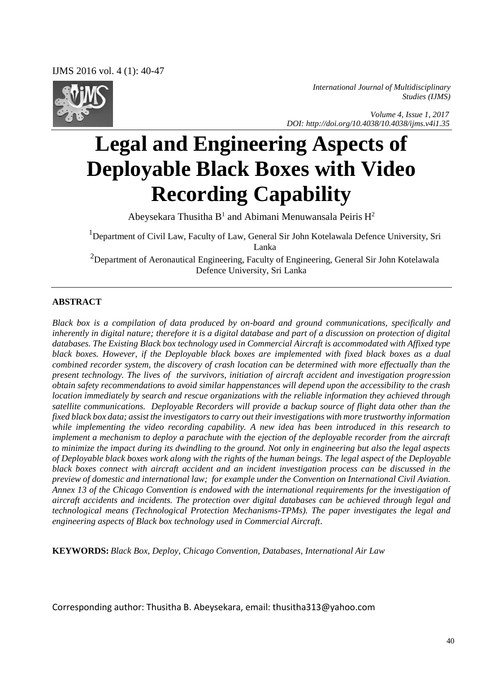IJMS 2016 vol. 4 (1): 40-47



*International Journal of Multidisciplinary Studies (IJMS)* 

 *Volume 4, Issue 1, 2017 DOI: http://doi.org/10.4038/10.4038/ijms.v4i1.35*

# **Legal and Engineering Aspects of Deployable Black Boxes with Video Recording Capability**

Abeysekara Thusitha  $B<sup>1</sup>$  and Abimani Menuwansala Peiris  $H<sup>2</sup>$ 

<sup>1</sup>Department of Civil Law, Faculty of Law, General Sir John Kotelawala Defence University, Sri Lanka

 $2D$ epartment of Aeronautical Engineering, Faculty of Engineering, General Sir John Kotelawala Defence University, Sri Lanka

#### **ABSTRACT**

*Black box is a compilation of data produced by on-board and ground communications, specifically and inherently in digital nature; therefore it is a digital database and part of a discussion on protection of digital databases. The Existing Black box technology used in Commercial Aircraft is accommodated with Affixed type black boxes. However, if the Deployable black boxes are implemented with fixed black boxes as a dual combined recorder system, the discovery of crash location can be determined with more effectually than the present technology. The lives of the survivors, initiation of aircraft accident and investigation progression obtain safety recommendations to avoid similar happenstances will depend upon the accessibility to the crash location immediately by search and rescue organizations with the reliable information they achieved through satellite communications. Deployable Recorders will provide a backup source of flight data other than the fixed black box data; assist the investigators to carry out their investigations with more trustworthy information while implementing the video recording capability. A new idea has been introduced in this research to implement a mechanism to deploy a parachute with the ejection of the deployable recorder from the aircraft to minimize the impact during its dwindling to the ground. Not only in engineering but also the legal aspects of Deployable black boxes work along with the rights of the human beings. The legal aspect of the Deployable black boxes connect with aircraft accident and an incident investigation process can be discussed in the preview of domestic and international law; for example under the Convention on International Civil Aviation. Annex 13 of the Chicago Convention is endowed with the international requirements for the investigation of aircraft accidents and incidents. The protection over digital databases can be achieved through legal and technological means (Technological Protection Mechanisms-TPMs). The paper investigates the legal and engineering aspects of Black box technology used in Commercial Aircraft.*

**KEYWORDS:** *Black Box, Deploy, Chicago Convention, Databases, International Air Law* 

Corresponding author: Thusitha B. Abeysekara, email[: thusitha313@yahoo.com](mailto:thusitha313@yahoo.com)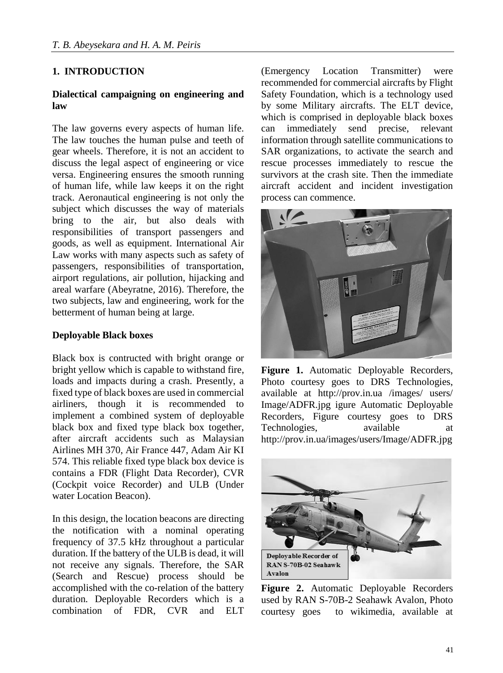#### **1. INTRODUCTION**

#### **Dialectical campaigning on engineering and law**

The law governs every aspects of human life. The law touches the human pulse and teeth of gear wheels. Therefore, it is not an accident to discuss the legal aspect of engineering or vice versa. Engineering ensures the smooth running of human life, while law keeps it on the right track. Aeronautical engineering is not only the subject which discusses the way of materials bring to the air, but also deals with responsibilities of transport passengers and goods, as well as equipment. International Air Law works with many aspects such as safety of passengers, responsibilities of transportation, airport regulations, air pollution, hijacking and areal warfare (Abeyratne, 2016). Therefore, the two subjects, law and engineering, work for the betterment of human being at large.

#### **Deployable Black boxes**

Black box is contructed with bright orange or bright yellow which is capable to withstand fire, loads and impacts during a crash. Presently, a fixed type of black boxes are used in commercial airliners, though it is recommended to implement a combined system of deployable black box and fixed type black box together, after aircraft accidents such as Malaysian Airlines MH 370, Air France 447, Adam Air KI 574. This reliable fixed type black box device is contains a FDR (Flight Data Recorder), CVR (Cockpit voice Recorder) and ULB (Under water Location Beacon).

In this design, the location beacons are directing the notification with a nominal operating frequency of 37.5 kHz throughout a particular duration. If the battery of the ULB is dead, it will not receive any signals. Therefore, the SAR (Search and Rescue) process should be accomplished with the co-relation of the battery duration. Deployable Recorders which is a combination of FDR, CVR and ELT

(Emergency Location Transmitter) were recommended for commercial aircrafts by Flight Safety Foundation, which is a technology used by some Military aircrafts. The ELT device, which is comprised in deployable black boxes can immediately send precise, relevant information through satellite communications to SAR organizations, to activate the search and rescue processes immediately to rescue the survivors at the crash site. Then the immediate aircraft accident and incident investigation process can commence.



**Figure 1.** Automatic Deployable Recorders, Photo courtesy goes to DRS Technologies, available at http://prov.in.ua /images/ users/ Image/ADFR.jpg igure Automatic Deployable Recorders, Figure courtesy goes to DRS Technologies, available at http://prov.in.ua/images/users/Image/ADFR.jpg



**Figure 2.** Automatic Deployable Recorders used by RAN S-70B-2 Seahawk Avalon, Photo courtesy goes to wikimedia, available at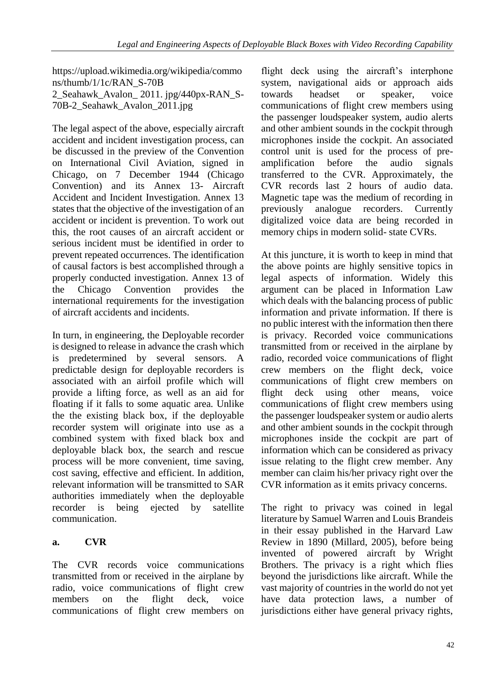https://upload.wikimedia.org/wikipedia/commo ns/thumb/1/1c/RAN\_S-70B 2\_Seahawk\_Avalon\_ 2011. jpg/440px-RAN\_S-70B-2\_Seahawk\_Avalon\_2011.jpg

The legal aspect of the above, especially aircraft accident and incident investigation process, can be discussed in the preview of the Convention on International Civil Aviation, signed in Chicago, on 7 December 1944 (Chicago Convention) and its Annex 13- Aircraft Accident and Incident Investigation. Annex 13 states that the objective of the investigation of an accident or incident is prevention. To work out this, the root causes of an aircraft accident or serious incident must be identified in order to prevent repeated occurrences. The identification of causal factors is best accomplished through a properly conducted investigation. Annex 13 of the Chicago Convention provides the international requirements for the investigation of aircraft accidents and incidents.

In turn, in engineering, the Deployable recorder is designed to release in advance the crash which is predetermined by several sensors. A predictable design for deployable recorders is associated with an airfoil profile which will provide a lifting force, as well as an aid for floating if it falls to some aquatic area. Unlike the the existing black box, if the deployable recorder system will originate into use as a combined system with fixed black box and deployable black box, the search and rescue process will be more convenient, time saving, cost saving, effective and efficient. In addition, relevant information will be transmitted to SAR authorities immediately when the deployable recorder is being ejected by satellite communication.

# **a. CVR**

The CVR records voice communications transmitted from or received in the airplane by radio, voice communications of flight crew members on the flight deck, voice communications of flight crew members on flight deck using the aircraft's interphone system, navigational aids or approach aids towards headset or speaker, voice communications of flight crew members using the passenger loudspeaker system, audio alerts and other ambient sounds in the cockpit through microphones inside the cockpit. An associated control unit is used for the process of preamplification before the audio signals transferred to the CVR. Approximately, the CVR records last 2 hours of audio data. Magnetic tape was the medium of recording in previously analogue recorders. Currently digitalized voice data are being recorded in memory chips in modern solid- state CVRs.

At this juncture, it is worth to keep in mind that the above points are highly sensitive topics in legal aspects of information. Widely this argument can be placed in Information Law which deals with the balancing process of public information and private information. If there is no public interest with the information then there is privacy. Recorded voice communications transmitted from or received in the airplane by radio, recorded voice communications of flight crew members on the flight deck, voice communications of flight crew members on flight deck using other means, voice communications of flight crew members using the passenger loudspeaker system or audio alerts and other ambient sounds in the cockpit through microphones inside the cockpit are part of information which can be considered as privacy issue relating to the flight crew member. Any member can claim his/her privacy right over the CVR information as it emits privacy concerns.

The right to privacy was coined in legal literature by Samuel Warren and Louis Brandeis in their essay published in the Harvard Law Review in 1890 (Millard, 2005), before being invented of powered aircraft by Wright Brothers. The privacy is a right which flies beyond the jurisdictions like aircraft. While the vast majority of countries in the world do not yet have data protection laws, a number of jurisdictions either have general privacy rights,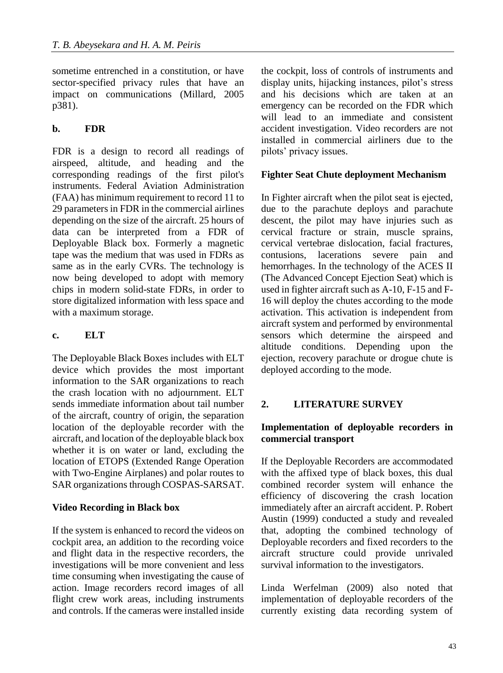sometime entrenched in a constitution, or have sector-specified privacy rules that have an impact on communications (Millard, 2005 p381).

## **b. FDR**

FDR is a design to record all readings of airspeed, altitude, and heading and the corresponding readings of the first pilot's instruments. Federal Aviation Administration (FAA) has minimum requirement to record 11 to 29 parameters in FDR in the commercial airlines depending on the size of the aircraft. 25 hours of data can be interpreted from a FDR of Deployable Black box. Formerly a magnetic tape was the medium that was used in FDRs as same as in the early CVRs. The technology is now being developed to adopt with memory chips in modern solid-state FDRs, in order to store digitalized information with less space and with a maximum storage.

## **c. ELT**

The Deployable Black Boxes includes with ELT device which provides the most important information to the SAR organizations to reach the crash location with no adjournment. ELT sends immediate information about tail number of the aircraft, country of origin, the separation location of the deployable recorder with the aircraft, and location of the deployable black box whether it is on water or land, excluding the location of ETOPS (Extended Range Operation with Two-Engine Airplanes) and polar routes to SAR organizations through COSPAS-SARSAT.

## **Video Recording in Black box**

If the system is enhanced to record the videos on cockpit area, an addition to the recording voice and flight data in the respective recorders, the investigations will be more convenient and less time consuming when investigating the cause of action. Image recorders record images of all flight crew work areas, including instruments and controls. If the cameras were installed inside the cockpit, loss of controls of instruments and display units, hijacking instances, pilot's stress and his decisions which are taken at an emergency can be recorded on the FDR which will lead to an immediate and consistent accident investigation. Video recorders are not installed in commercial airliners due to the pilots' privacy issues.

## **Fighter Seat Chute deployment Mechanism**

In Fighter aircraft when the pilot seat is ejected, due to the parachute deploys and parachute descent, the pilot may have injuries such as cervical fracture or strain, muscle sprains, cervical vertebrae dislocation, facial fractures, contusions, lacerations severe pain and hemorrhages. In the technology of the ACES II (The Advanced Concept Ejection Seat) which is used in fighter aircraft such as A-10, F-15 and F-16 will deploy the chutes according to the mode activation. This activation is independent from aircraft system and performed by environmental sensors which determine the airspeed and altitude conditions. Depending upon the ejection, recovery parachute or drogue chute is deployed according to the mode.

## **2. LITERATURE SURVEY**

## **Implementation of deployable recorders in commercial transport**

If the Deployable Recorders are accommodated with the affixed type of black boxes, this dual combined recorder system will enhance the efficiency of discovering the crash location immediately after an aircraft accident. P. Robert Austin (1999) conducted a study and revealed that, adopting the combined technology of Deployable recorders and fixed recorders to the aircraft structure could provide unrivaled survival information to the investigators.

Linda Werfelman (2009) also noted that implementation of deployable recorders of the currently existing data recording system of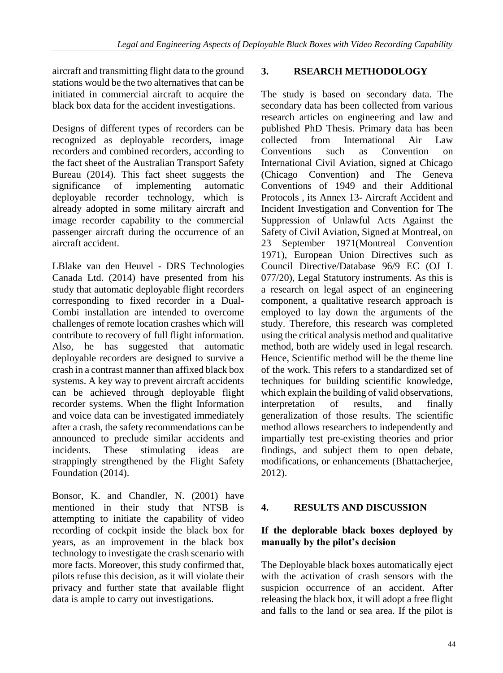aircraft and transmitting flight data to the ground stations would be the two alternatives that can be initiated in commercial aircraft to acquire the black box data for the accident investigations.

Designs of different types of recorders can be recognized as deployable recorders, image recorders and combined recorders, according to the fact sheet of the Australian Transport Safety Bureau (2014). This fact sheet suggests the significance of implementing automatic deployable recorder technology, which is already adopted in some military aircraft and image recorder capability to the commercial passenger aircraft during the occurrence of an aircraft accident.

LBlake van den Heuvel - DRS Technologies Canada Ltd. (2014) have presented from his study that automatic deployable flight recorders corresponding to fixed recorder in a Dual-Combi installation are intended to overcome challenges of remote location crashes which will contribute to recovery of full flight information. Also, he has suggested that automatic deployable recorders are designed to survive a crash in a contrast manner than affixed black box systems. A key way to prevent aircraft accidents can be achieved through deployable flight recorder systems. When the flight Information and voice data can be investigated immediately after a crash, the safety recommendations can be announced to preclude similar accidents and incidents. These stimulating ideas are strappingly strengthened by the Flight Safety Foundation (2014).

Bonsor, K. and Chandler, N. (2001) have mentioned in their study that NTSB is attempting to initiate the capability of video recording of cockpit inside the black box for years, as an improvement in the black box technology to investigate the crash scenario with more facts. Moreover, this study confirmed that, pilots refuse this decision, as it will violate their privacy and further state that available flight data is ample to carry out investigations.

## **3. RSEARCH METHODOLOGY**

The study is based on secondary data. The secondary data has been collected from various research articles on engineering and law and published PhD Thesis. Primary data has been collected from International Air Law Conventions such as Convention on International Civil Aviation, signed at Chicago (Chicago Convention) and The Geneva Conventions of 1949 and their Additional Protocols , its Annex 13- Aircraft Accident and Incident Investigation and Convention for The Suppression of Unlawful Acts Against the Safety of Civil Aviation, Signed at Montreal, on 23 September 1971(Montreal Convention 1971), European Union Directives such as Council Directive/Database 96/9 EC (OJ L 077/20), Legal Statutory instruments. As this is a research on legal aspect of an engineering component, a qualitative research approach is employed to lay down the arguments of the study. Therefore, this research was completed using the critical analysis method and qualitative method, both are widely used in legal research. Hence, Scientific method will be the theme line of the work. This refers to a standardized set of techniques for building scientific knowledge, which explain the building of valid observations, interpretation of results, and finally generalization of those results. The scientific method allows researchers to independently and impartially test pre-existing theories and prior findings, and subject them to open debate, modifications, or enhancements (Bhattacherjee, 2012).

## **4. RESULTS AND DISCUSSION**

## **If the deplorable black boxes deployed by manually by the pilot's decision**

The Deployable black boxes automatically eject with the activation of crash sensors with the suspicion occurrence of an accident. After releasing the black box, it will adopt a free flight and falls to the land or sea area. If the pilot is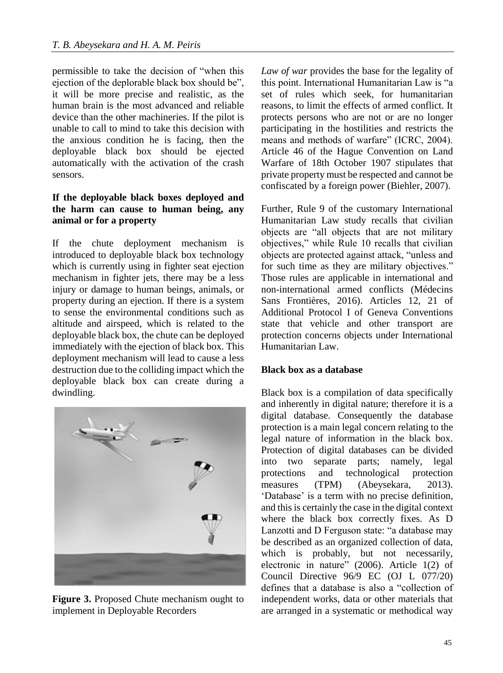permissible to take the decision of "when this ejection of the deplorable black box should be", it will be more precise and realistic, as the human brain is the most advanced and reliable device than the other machineries. If the pilot is unable to call to mind to take this decision with the anxious condition he is facing, then the deployable black box should be ejected automatically with the activation of the crash sensors.

#### **If the deployable black boxes deployed and the harm can cause to human being, any animal or for a property**

If the chute deployment mechanism is introduced to deployable black box technology which is currently using in fighter seat ejection mechanism in fighter jets, there may be a less injury or damage to human beings, animals, or property during an ejection. If there is a system to sense the environmental conditions such as altitude and airspeed, which is related to the deployable black box, the chute can be deployed immediately with the ejection of black box. This deployment mechanism will lead to cause a less destruction due to the colliding impact which the deployable black box can create during a dwindling.



**Figure 3.** Proposed Chute mechanism ought to implement in Deployable Recorders

*Law of war* provides the base for the legality of this point. International Humanitarian Law is "a set of rules which seek, for humanitarian reasons, to limit the effects of armed conflict. It protects persons who are not or are no longer participating in the hostilities and restricts the means and methods of warfare" (ICRC, 2004). Article 46 of the Hague Convention on Land Warfare of 18th October 1907 stipulates that private property must be respected and cannot be confiscated by a foreign power (Biehler, 2007).

Further, Rule 9 of the customary International Humanitarian Law study recalls that civilian objects are "all objects that are not military objectives," while Rule 10 recalls that civilian objects are protected against attack, "unless and for such time as they are military objectives." Those rules are applicable in international and non-international armed conflicts (Médecins Sans Frontières, 2016). Articles 12, 21 of Additional Protocol I of Geneva Conventions state that vehicle and other transport are protection concerns objects under International Humanitarian Law.

#### **Black box as a database**

Black box is a compilation of data specifically and inherently in digital nature; therefore it is a digital database. Consequently the database protection is a main legal concern relating to the legal nature of information in the black box. Protection of digital databases can be divided into two separate parts; namely, legal protections and technological protection measures (TPM) (Abeysekara, 2013). 'Database' is a term with no precise definition, and this is certainly the case in the digital context where the black box correctly fixes. As D Lanzotti and D Ferguson state: "a database may be described as an organized collection of data, which is probably, but not necessarily, electronic in nature" (2006). Article 1(2) of Council Directive 96/9 EC (OJ L 077/20) defines that a database is also a "collection of independent works, data or other materials that are arranged in a systematic or methodical way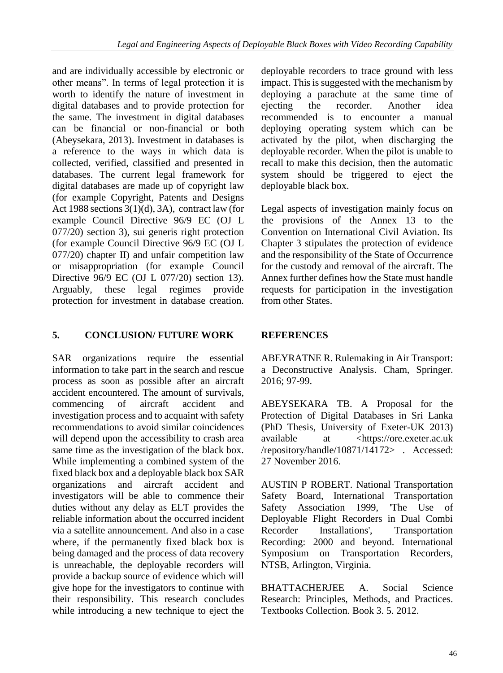and are individually accessible by electronic or other means". In terms of legal protection it is worth to identify the nature of investment in digital databases and to provide protection for the same. The investment in digital databases can be financial or non-financial or both (Abeysekara, 2013). Investment in databases is a reference to the ways in which data is collected, verified, classified and presented in databases. The current legal framework for digital databases are made up of copyright law (for example Copyright, Patents and Designs Act 1988 sections 3(1)(d), 3A), contract law (for example Council Directive 96/9 EC (OJ L 077/20) section 3), sui generis right protection (for example Council Directive 96/9 EC (OJ L 077/20) chapter II) and unfair competition law or misappropriation (for example Council Directive 96/9 EC (OJ L 077/20) section 13). Arguably, these legal regimes provide protection for investment in database creation.

# **5. CONCLUSION/ FUTURE WORK**

SAR organizations require the essential information to take part in the search and rescue process as soon as possible after an aircraft accident encountered. The amount of survivals, commencing of aircraft accident and investigation process and to acquaint with safety recommendations to avoid similar coincidences will depend upon the accessibility to crash area same time as the investigation of the black box. While implementing a combined system of the fixed black box and a deployable black box SAR organizations and aircraft accident and investigators will be able to commence their duties without any delay as ELT provides the reliable information about the occurred incident via a satellite announcement. And also in a case where, if the permanently fixed black box is being damaged and the process of data recovery is unreachable, the deployable recorders will provide a backup source of evidence which will give hope for the investigators to continue with their responsibility. This research concludes while introducing a new technique to eject the

deployable recorders to trace ground with less impact. This is suggested with the mechanism by deploying a parachute at the same time of ejecting the recorder. Another idea recommended is to encounter a manual deploying operating system which can be activated by the pilot, when discharging the deployable recorder. When the pilot is unable to recall to make this decision, then the automatic system should be triggered to eject the deployable black box.

Legal aspects of investigation mainly focus on the provisions of the Annex 13 to the Convention on International Civil Aviation. Its Chapter 3 stipulates the protection of evidence and the responsibility of the State of Occurrence for the custody and removal of the aircraft. The Annex further defines how the State must handle requests for participation in the investigation from other States.

# **REFERENCES**

ABEYRATNE R. Rulemaking in Air Transport: a Deconstructive Analysis. Cham, Springer. 2016; 97-99.

ABEYSEKARA TB. A Proposal for the Protection of Digital Databases in Sri Lanka (PhD Thesis, University of Exeter-UK 2013) available at <https://ore.exeter.ac.uk /repository/handle/10871/14172> . Accessed: 27 November 2016.

AUSTIN P ROBERT. National Transportation Safety Board, International Transportation Safety Association 1999, 'The Use of Deployable Flight Recorders in Dual Combi Recorder Installations', Transportation Recording: 2000 and beyond. International Symposium on Transportation Recorders, NTSB, Arlington, Virginia.

BHATTACHERJEE A. Social Science Research: Principles, Methods, and Practices. Textbooks Collection. Book 3. 5. 2012.